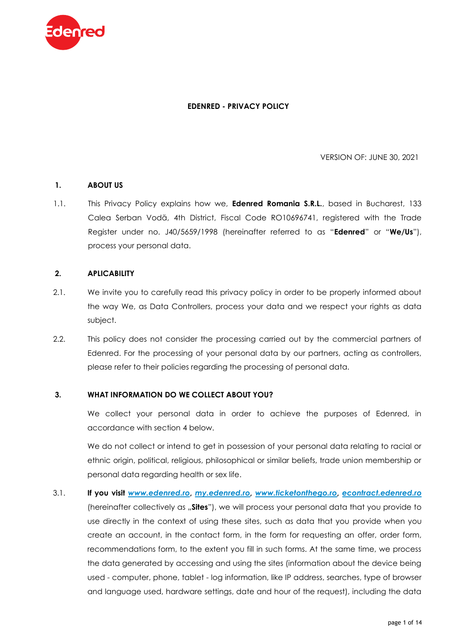

## **EDENRED - PRIVACY POLICY**

VERSION OF: JUNE 30, 2021

## **1. ABOUT US**

1.1. This Privacy Policy explains how we, **Edenred Romania S.R.L.**, based in Bucharest, 133 Calea Serban Vodă, 4th District, Fiscal Code RO10696741, registered with the Trade Register under no. J40/5659/1998 (hereinafter referred to as "**Edenred**" or "**We/Us**"), process your personal data.

# **2. APLICABILITY**

- 2.1. We invite you to carefully read this privacy policy in order to be properly informed about the way We, as Data Controllers, process your data and we respect your rights as data subject.
- 2.2. This policy does not consider the processing carried out by the commercial partners of Edenred. For the processing of your personal data by our partners, acting as controllers, please refer to their policies regarding the processing of personal data.

#### **3. WHAT INFORMATION DO WE COLLECT ABOUT YOU?**

We collect your personal data in order to achieve the purposes of Edenred, in accordance with section 4 below.

We do not collect or intend to get in possession of your personal data relating to racial or ethnic origin, political, religious, philosophical or similar beliefs, trade union membership or personal data regarding health or sex life.

3.1. **If you visit** *[www.edenred.ro](http://www.edenred.ro/)***,** *<my.edenred.ro>***,** *[www.ticketonthego.ro](http://www.ticketonthego.ro/)***,** *<econtract.edenred.ro>* (hereinafter collectively as "**Sites**"), we will process your personal data that you provide to use directly in the context of using these sites, such as data that you provide when you create an account, in the contact form, in the form for requesting an offer, order form, recommendations form, to the extent you fill in such forms. At the same time, we process the data generated by accessing and using the sites (information about the device being used - computer, phone, tablet - log information, like IP address, searches, type of browser and language used, hardware settings, date and hour of the request), including the data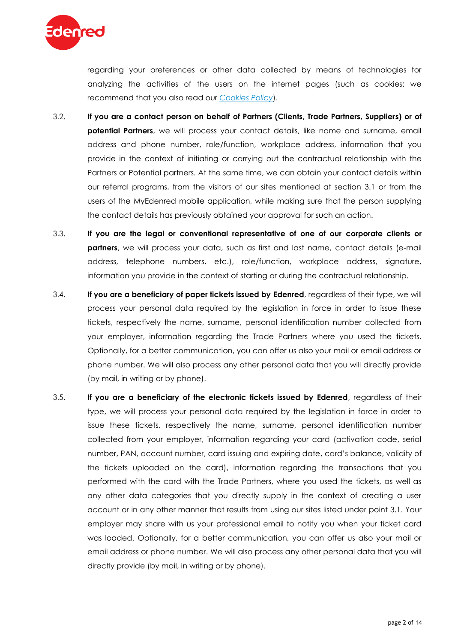

regarding your preferences or other data collected by means of technologies for analyzing the activities of the users on the internet pages (such as cookies; we recommend that you also read our *[Cookies Policy](https://www.edenred.ro/sites/default/files/public/Edenred-Cookies_Policy_EN.pdf)*).

- 3.2. **If you are a contact person on behalf of Partners (Clients, Trade Partners, Suppliers) or of potential Partners**, we will process your contact details, like name and surname, email address and phone number, role/function, workplace address, information that you provide in the context of initiating or carrying out the contractual relationship with the Partners or Potential partners. At the same time, we can obtain your contact details within our referral programs, from the visitors of our sites mentioned at section 3.1 or from the users of the MyEdenred mobile application, while making sure that the person supplying the contact details has previously obtained your approval for such an action.
- 3.3. **If you are the legal or conventional representative of one of our corporate clients or partners**, we will process your data, such as first and last name, contact details (e-mail address, telephone numbers, etc.), role/function, workplace address, signature, information you provide in the context of starting or during the contractual relationship.
- 3.4. **If you are a beneficiary of paper tickets issued by Edenred**, regardless of their type, we will process your personal data required by the legislation in force in order to issue these tickets, respectively the name, surname, personal identification number collected from your employer, information regarding the Trade Partners where you used the tickets. Optionally, for a better communication, you can offer us also your mail or email address or phone number. We will also process any other personal data that you will directly provide (by mail, in writing or by phone).
- 3.5. **If you are a beneficiary of the electronic tickets issued by Edenred**, regardless of their type, we will process your personal data required by the legislation in force in order to issue these tickets, respectively the name, surname, personal identification number collected from your employer, information regarding your card (activation code, serial number, PAN, account number, card issuing and expiring date, card's balance, validity of the tickets uploaded on the card), information regarding the transactions that you performed with the card with the Trade Partners, where you used the tickets, as well as any other data categories that you directly supply in the context of creating a user account or in any other manner that results from using our sites listed under point 3.1. Your employer may share with us your professional email to notify you when your ticket card was loaded. Optionally, for a better communication, you can offer us also your mail or email address or phone number. We will also process any other personal data that you will directly provide (by mail, in writing or by phone).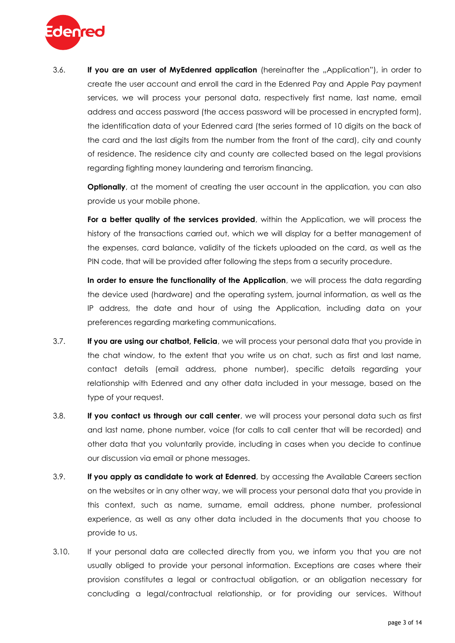

3.6. **If you are an user of MyEdenred application** (hereinafter the "Application"), in order to create the user account and enroll the card in the Edenred Pay and Apple Pay payment services, we will process your personal data, respectively first name, last name, email address and access password (the access password will be processed in encrypted form), the identification data of your Edenred card (the series formed of 10 digits on the back of the card and the last digits from the number from the front of the card), city and county of residence. The residence city and county are collected based on the legal provisions regarding fighting money laundering and terrorism financing.

**Optionally**, at the moment of creating the user account in the application, you can also provide us your mobile phone.

For a better quality of the services provided, within the Application, we will process the history of the transactions carried out, which we will display for a better management of the expenses, card balance, validity of the tickets uploaded on the card, as well as the PIN code, that will be provided after following the steps from a security procedure.

**In order to ensure the functionality of the Application**, we will process the data regarding the device used (hardware) and the operating system, journal information, as well as the IP address, the date and hour of using the Application, including data on your preferences regarding marketing communications.

- 3.7. **If you are using our chatbot, Felicia**, we will process your personal data that you provide in the chat window, to the extent that you write us on chat, such as first and last name, contact details (email address, phone number), specific details regarding your relationship with Edenred and any other data included in your message, based on the type of your request.
- 3.8. **If you contact us through our call center**, we will process your personal data such as first and last name, phone number, voice (for calls to call center that will be recorded) and other data that you voluntarily provide, including in cases when you decide to continue our discussion via email or phone messages.
- 3.9. **If you apply as candidate to work at Edenred**, by accessing the Available Careers section on the websites or in any other way, we will process your personal data that you provide in this context, such as name, surname, email address, phone number, professional experience, as well as any other data included in the documents that you choose to provide to us.
- 3.10. If your personal data are collected directly from you, we inform you that you are not usually obliged to provide your personal information. Exceptions are cases where their provision constitutes a legal or contractual obligation, or an obligation necessary for concluding a legal/contractual relationship, or for providing our services. Without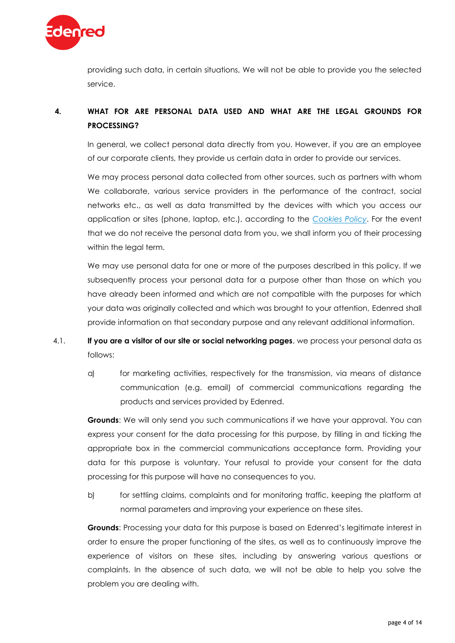

providing such data, in certain situations, We will not be able to provide you the selected service.

# **4. WHAT FOR ARE PERSONAL DATA USED AND WHAT ARE THE LEGAL GROUNDS FOR PROCESSING?**

In general, we collect personal data directly from you. However, if you are an employee of our corporate clients, they provide us certain data in order to provide our services.

We may process personal data collected from other sources, such as partners with whom We collaborate, various service providers in the performance of the contract, social networks etc., as well as data transmitted by the devices with which you access our application or sites (phone, laptop, etc.), according to the *[Cookies](https://www.edenred.ro/sites/default/files/public/Edenred-Cookies_Policy_EN.pdf) Policy*. For the event that we do not receive the personal data from you, we shall inform you of their processing within the legal term.

We may use personal data for one or more of the purposes described in this policy. If we subsequently process your personal data for a purpose other than those on which you have already been informed and which are not compatible with the purposes for which your data was originally collected and which was brought to your attention, Edenred shall provide information on that secondary purpose and any relevant additional information.

- 4.1. **If you are a visitor of our site or social networking pages**, we process your personal data as follows:
	- a) for marketing activities, respectively for the transmission, via means of distance communication (e.g. email) of commercial communications regarding the products and services provided by Edenred.

**Grounds**: We will only send you such communications if we have your approval. You can express your consent for the data processing for this purpose, by filling in and ticking the appropriate box in the commercial communications acceptance form. Providing your data for this purpose is voluntary. Your refusal to provide your consent for the data processing for this purpose will have no consequences to you.

b) for settling claims, complaints and for monitoring traffic, keeping the platform at normal parameters and improving your experience on these sites.

**Grounds**: Processing your data for this purpose is based on Edenred's legitimate interest in order to ensure the proper functioning of the sites, as well as to continuously improve the experience of visitors on these sites, including by answering various questions or complaints. In the absence of such data, we will not be able to help you solve the problem you are dealing with.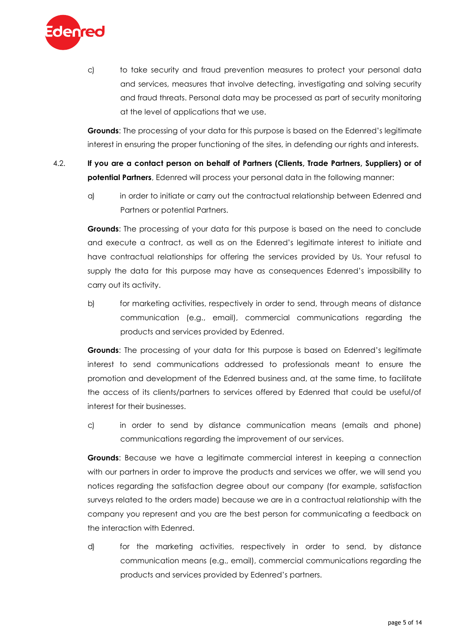

c) to take security and fraud prevention measures to protect your personal data and services, measures that involve detecting, investigating and solving security and fraud threats. Personal data may be processed as part of security monitoring at the level of applications that we use.

**Grounds**: The processing of your data for this purpose is based on the Edenred's legitimate interest in ensuring the proper functioning of the sites, in defending our rights and interests.

- 4.2. **If you are a contact person on behalf of Partners (Clients, Trade Partners, Suppliers) or of potential Partners**, Edenred will process your personal data in the following manner:
	- a) in order to initiate or carry out the contractual relationship between Edenred and Partners or potential Partners.

**Grounds**: The processing of your data for this purpose is based on the need to conclude and execute a contract, as well as on the Edenred's legitimate interest to initiate and have contractual relationships for offering the services provided by Us. Your refusal to supply the data for this purpose may have as consequences Edenred's impossibility to carry out its activity.

b) for marketing activities, respectively in order to send, through means of distance communication (e.g., email), commercial communications regarding the products and services provided by Edenred.

**Grounds**: The processing of your data for this purpose is based on Edenred's legitimate interest to send communications addressed to professionals meant to ensure the promotion and development of the Edenred business and, at the same time, to facilitate the access of its clients/partners to services offered by Edenred that could be useful/of interest for their businesses.

c) in order to send by distance communication means (emails and phone) communications regarding the improvement of our services.

**Grounds**: Because we have a legitimate commercial interest in keeping a connection with our partners in order to improve the products and services we offer, we will send you notices regarding the satisfaction degree about our company (for example, satisfaction surveys related to the orders made) because we are in a contractual relationship with the company you represent and you are the best person for communicating a feedback on the interaction with Edenred.

d) for the marketing activities, respectively in order to send, by distance communication means (e.g., email), commercial communications regarding the products and services provided by Edenred's partners.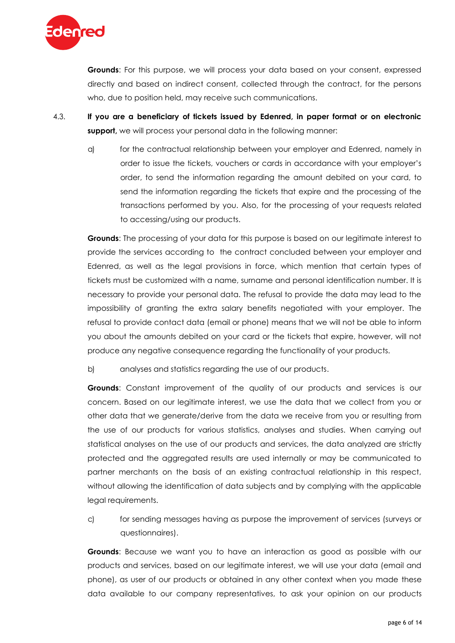

**Grounds**: For this purpose, we will process your data based on your consent, expressed directly and based on indirect consent, collected through the contract, for the persons who, due to position held, may receive such communications.

- 4.3. **If you are a beneficiary of tickets issued by Edenred, in paper format or on electronic support,** we will process your personal data in the following manner:
	- a) for the contractual relationship between your employer and Edenred, namely in order to issue the tickets, vouchers or cards in accordance with your employer's order, to send the information regarding the amount debited on your card, to send the information regarding the tickets that expire and the processing of the transactions performed by you. Also, for the processing of your requests related to accessing/using our products.

**Grounds**: The processing of your data for this purpose is based on our legitimate interest to provide the services according to the contract concluded between your employer and Edenred, as well as the legal provisions in force, which mention that certain types of tickets must be customized with a name, surname and personal identification number. It is necessary to provide your personal data. The refusal to provide the data may lead to the impossibility of granting the extra salary benefits negotiated with your employer. The refusal to provide contact data (email or phone) means that we will not be able to inform you about the amounts debited on your card or the tickets that expire, however, will not produce any negative consequence regarding the functionality of your products.

b) analyses and statistics regarding the use of our products.

**Grounds**: Constant improvement of the quality of our products and services is our concern. Based on our legitimate interest, we use the data that we collect from you or other data that we generate/derive from the data we receive from you or resulting from the use of our products for various statistics, analyses and studies. When carrying out statistical analyses on the use of our products and services, the data analyzed are strictly protected and the aggregated results are used internally or may be communicated to partner merchants on the basis of an existing contractual relationship in this respect, without allowing the identification of data subjects and by complying with the applicable legal requirements.

c) for sending messages having as purpose the improvement of services (surveys or questionnaires).

**Grounds**: Because we want you to have an interaction as good as possible with our products and services, based on our legitimate interest, we will use your data (email and phone), as user of our products or obtained in any other context when you made these data available to our company representatives, to ask your opinion on our products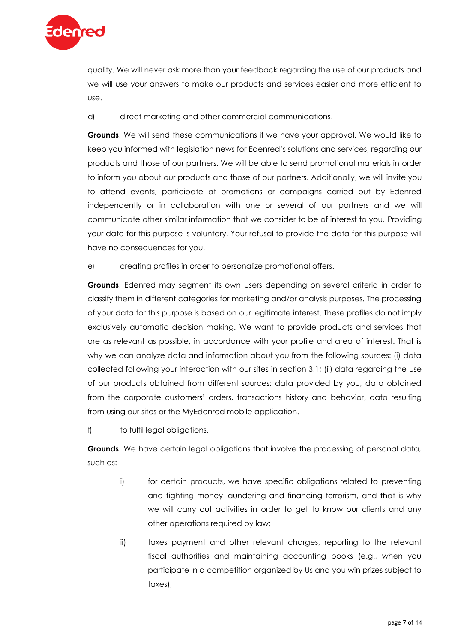

quality. We will never ask more than your feedback regarding the use of our products and we will use your answers to make our products and services easier and more efficient to use.

d) direct marketing and other commercial communications.

**Grounds**: We will send these communications if we have your approval. We would like to keep you informed with legislation news for Edenred's solutions and services, regarding our products and those of our partners. We will be able to send promotional materials in order to inform you about our products and those of our partners. Additionally, we will invite you to attend events, participate at promotions or campaigns carried out by Edenred independently or in collaboration with one or several of our partners and we will communicate other similar information that we consider to be of interest to you. Providing your data for this purpose is voluntary. Your refusal to provide the data for this purpose will have no consequences for you.

e) creating profiles in order to personalize promotional offers.

**Grounds**: Edenred may segment its own users depending on several criteria in order to classify them in different categories for marketing and/or analysis purposes. The processing of your data for this purpose is based on our legitimate interest. These profiles do not imply exclusively automatic decision making. We want to provide products and services that are as relevant as possible, in accordance with your profile and area of interest. That is why we can analyze data and information about you from the following sources: (i) data collected following your interaction with our sites in section 3.1; (ii) data regarding the use of our products obtained from different sources: data provided by you, data obtained from the corporate customers' orders, transactions history and behavior, data resulting from using our sites or the MyEdenred mobile application.

f) to fulfil legal obligations.

**Grounds**: We have certain legal obligations that involve the processing of personal data, such as:

- i) for certain products, we have specific obligations related to preventing and fighting money laundering and financing terrorism, and that is why we will carry out activities in order to get to know our clients and any other operations required by law;
- ii) taxes payment and other relevant charges, reporting to the relevant fiscal authorities and maintaining accounting books (e.g., when you participate in a competition organized by Us and you win prizes subject to taxes);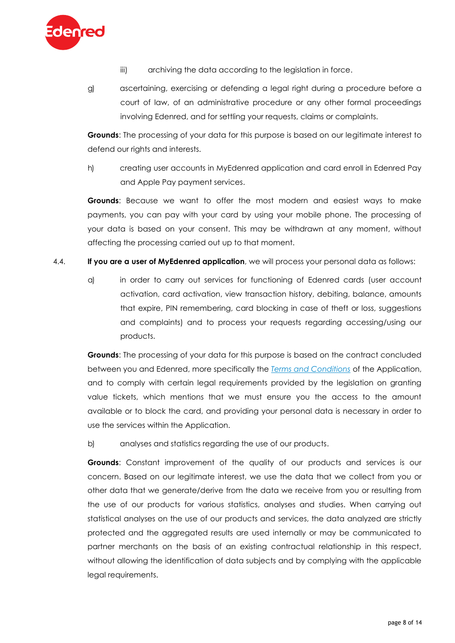

- iii) archiving the data according to the legislation in force.
- g) ascertaining, exercising or defending a legal right during a procedure before a court of law, of an administrative procedure or any other formal proceedings involving Edenred, and for settling your requests, claims or complaints.

**Grounds**: The processing of your data for this purpose is based on our legitimate interest to defend our rights and interests.

h) creating user accounts in MyEdenred application and card enroll in Edenred Pay and Apple Pay payment services.

**Grounds**: Because we want to offer the most modern and easiest ways to make payments, you can pay with your card by using your mobile phone. The processing of your data is based on your consent. This may be withdrawn at any moment, without affecting the processing carried out up to that moment.

- 4.4. **If you are a user of MyEdenred application**, we will process your personal data as follows:
	- a) in order to carry out services for functioning of Edenred cards (user account activation, card activation, view transaction history, debiting, balance, amounts that expire, PIN remembering, card blocking in case of theft or loss, suggestions and complaints) and to process your requests regarding accessing/using our products.

**Grounds**: The processing of your data for this purpose is based on the contract concluded between you and Edenred, more specifically the *[Terms and Conditions](https://www.edenred.ro/sites/default/files/public/Edenred-Platform_Terms_and_Conditions_EN.pdf)* of the Application, and to comply with certain legal requirements provided by the legislation on granting value tickets, which mentions that we must ensure you the access to the amount available or to block the card, and providing your personal data is necessary in order to use the services within the Application.

b) analyses and statistics regarding the use of our products.

**Grounds**: Constant improvement of the quality of our products and services is our concern. Based on our legitimate interest, we use the data that we collect from you or other data that we generate/derive from the data we receive from you or resulting from the use of our products for various statistics, analyses and studies. When carrying out statistical analyses on the use of our products and services, the data analyzed are strictly protected and the aggregated results are used internally or may be communicated to partner merchants on the basis of an existing contractual relationship in this respect, without allowing the identification of data subjects and by complying with the applicable legal requirements.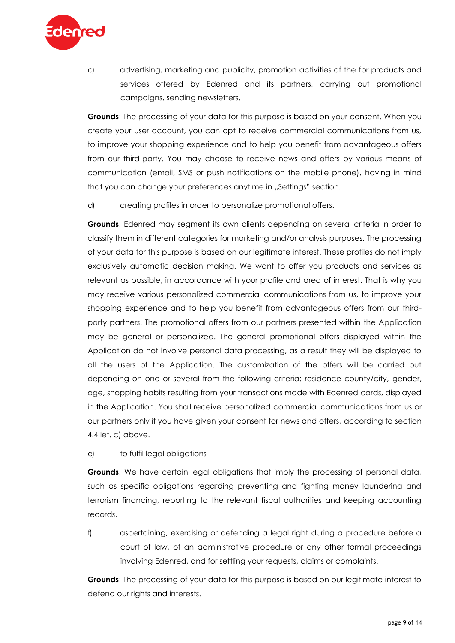

c) advertising, marketing and publicity, promotion activities of the for products and services offered by Edenred and its partners, carrying out promotional campaigns, sending newsletters.

**Grounds**: The processing of your data for this purpose is based on your consent. When you create your user account, you can opt to receive commercial communications from us, to improve your shopping experience and to help you benefit from advantageous offers from our third-party. You may choose to receive news and offers by various means of communication (email, SMS or push notifications on the mobile phone), having in mind that you can change your preferences anytime in "Settings" section.

d) creating profiles in order to personalize promotional offers.

**Grounds**: Edenred may segment its own clients depending on several criteria in order to classify them in different categories for marketing and/or analysis purposes. The processing of your data for this purpose is based on our legitimate interest. These profiles do not imply exclusively automatic decision making. We want to offer you products and services as relevant as possible, in accordance with your profile and area of interest. That is why you may receive various personalized commercial communications from us, to improve your shopping experience and to help you benefit from advantageous offers from our thirdparty partners. The promotional offers from our partners presented within the Application may be general or personalized. The general promotional offers displayed within the Application do not involve personal data processing, as a result they will be displayed to all the users of the Application. The customization of the offers will be carried out depending on one or several from the following criteria: residence county/city, gender, age, shopping habits resulting from your transactions made with Edenred cards, displayed in the Application. You shall receive personalized commercial communications from us or our partners only if you have given your consent for news and offers, according to section 4.4 let. c) above.

e) to fulfil legal obligations

**Grounds**: We have certain legal obligations that imply the processing of personal data, such as specific obligations regarding preventing and fighting money laundering and terrorism financing, reporting to the relevant fiscal authorities and keeping accounting records.

f) ascertaining, exercising or defending a legal right during a procedure before a court of law, of an administrative procedure or any other formal proceedings involving Edenred, and for settling your requests, claims or complaints.

**Grounds**: The processing of your data for this purpose is based on our legitimate interest to defend our rights and interests.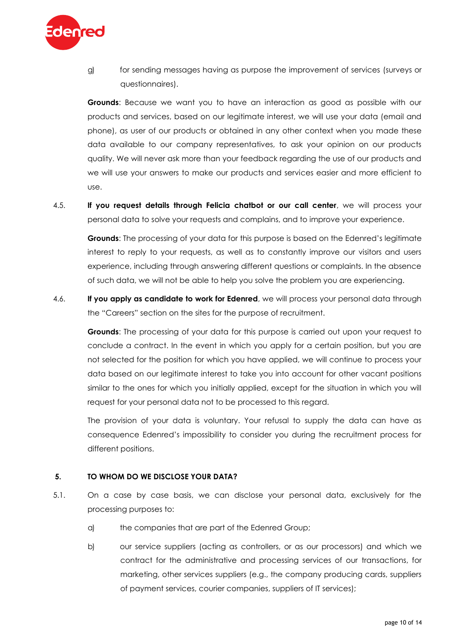

g) for sending messages having as purpose the improvement of services (surveys or questionnaires).

**Grounds**: Because we want you to have an interaction as good as possible with our products and services, based on our legitimate interest, we will use your data (email and phone), as user of our products or obtained in any other context when you made these data available to our company representatives, to ask your opinion on our products quality. We will never ask more than your feedback regarding the use of our products and we will use your answers to make our products and services easier and more efficient to use.

4.5. **If you request details through Felicia chatbot or our call center**, we will process your personal data to solve your requests and complains, and to improve your experience.

**Grounds**: The processing of your data for this purpose is based on the Edenred's legitimate interest to reply to your requests, as well as to constantly improve our visitors and users experience, including through answering different questions or complaints. In the absence of such data, we will not be able to help you solve the problem you are experiencing.

4.6. **If you apply as candidate to work for Edenred**, we will process your personal data through the "Careers" section on the sites for the purpose of recruitment.

**Grounds**: The processing of your data for this purpose is carried out upon your request to conclude a contract. In the event in which you apply for a certain position, but you are not selected for the position for which you have applied, we will continue to process your data based on our legitimate interest to take you into account for other vacant positions similar to the ones for which you initially applied, except for the situation in which you will request for your personal data not to be processed to this regard.

The provision of your data is voluntary. Your refusal to supply the data can have as consequence Edenred's impossibility to consider you during the recruitment process for different positions.

#### **5. TO WHOM DO WE DISCLOSE YOUR DATA?**

- 5.1. On a case by case basis, we can disclose your personal data, exclusively for the processing purposes to:
	- a) the companies that are part of the Edenred Group;
	- b) our service suppliers (acting as controllers, or as our processors) and which we contract for the administrative and processing services of our transactions, for marketing, other services suppliers (e.g., the company producing cards, suppliers of payment services, courier companies, suppliers of IT services);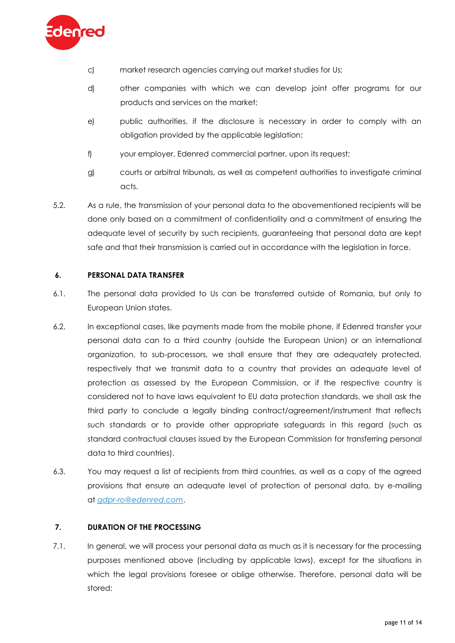

- c) market research agencies carrying out market studies for Us;
- d) other companies with which we can develop joint offer programs for our products and services on the market;
- e) public authorities, if the disclosure is necessary in order to comply with an obligation provided by the applicable legislation;
- f) your employer, Edenred commercial partner, upon its request;
- g) courts or arbitral tribunals, as well as competent authorities to investigate criminal acts.
- 5.2. As a rule, the transmission of your personal data to the abovementioned recipients will be done only based on a commitment of confidentiality and a commitment of ensuring the adequate level of security by such recipients, guaranteeing that personal data are kept safe and that their transmission is carried out in accordance with the legislation in force.

# **6. PERSONAL DATA TRANSFER**

- 6.1. The personal data provided to Us can be transferred outside of Romania, but only to European Union states.
- 6.2. In exceptional cases, like payments made from the mobile phone, if Edenred transfer your personal data can to a third country (outside the European Union) or an international organization, to sub-processors, we shall ensure that they are adequately protected, respectively that we transmit data to a country that provides an adequate level of protection as assessed by the European Commission, or if the respective country is considered not to have laws equivalent to EU data protection standards, we shall ask the third party to conclude a legally binding contract/agreement/instrument that reflects such standards or to provide other appropriate safeguards in this regard (such as standard contractual clauses issued by the European Commission for transferring personal data to third countries).
- 6.3. You may request a list of recipients from third countries, as well as a copy of the agreed provisions that ensure an adequate level of protection of personal data, by e-mailing at *[gdpr-ro@edenred.com](mailto:gdpr-ro@edenred.com)*.

# **7. DURATION OF THE PROCESSING**

7.1. In general, we will process your personal data as much as it is necessary for the processing purposes mentioned above (including by applicable laws), except for the situations in which the legal provisions foresee or oblige otherwise. Therefore, personal data will be stored: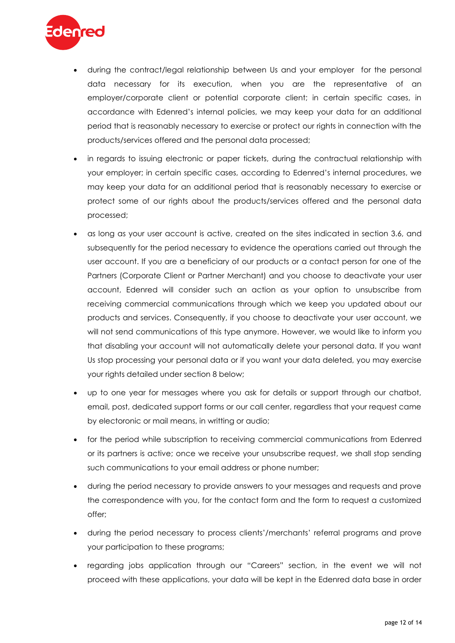

- during the contract/legal relationship between Us and your employer for the personal data necessary for its execution, when you are the representative of an employer/corporate client or potential corporate client; in certain specific cases, in accordance with Edenred's internal policies, we may keep your data for an additional period that is reasonably necessary to exercise or protect our rights in connection with the products/services offered and the personal data processed;
- in regards to issuing electronic or paper tickets, during the contractual relationship with your employer; in certain specific cases, according to Edenred's internal procedures, we may keep your data for an additional period that is reasonably necessary to exercise or protect some of our rights about the products/services offered and the personal data processed;
- as long as your user account is active, created on the sites indicated in section 3.6, and subsequently for the period necessary to evidence the operations carried out through the user account. If you are a beneficiary of our products or a contact person for one of the Partners (Corporate Client or Partner Merchant) and you choose to deactivate your user account, Edenred will consider such an action as your option to unsubscribe from receiving commercial communications through which we keep you updated about our products and services. Consequently, if you choose to deactivate your user account, we will not send communications of this type anymore. However, we would like to inform you that disabling your account will not automatically delete your personal data. If you want Us stop processing your personal data or if you want your data deleted, you may exercise your rights detailed under section 8 below;
- up to one year for messages where you ask for details or support through our chatbot, email, post, dedicated support forms or our call center, regardless that your request came by electoronic or mail means, in writting or audio;
- for the period while subscription to receiving commercial communications from Edenred or its partners is active; once we receive your unsubscribe request, we shall stop sending such communications to your email address or phone number;
- during the period necessary to provide answers to your messages and requests and prove the correspondence with you, for the contact form and the form to request a customized offer;
- during the period necessary to process clients'/merchants' referral programs and prove your participation to these programs;
- regarding jobs application through our "Careers" section, in the event we will not proceed with these applications, your data will be kept in the Edenred data base in order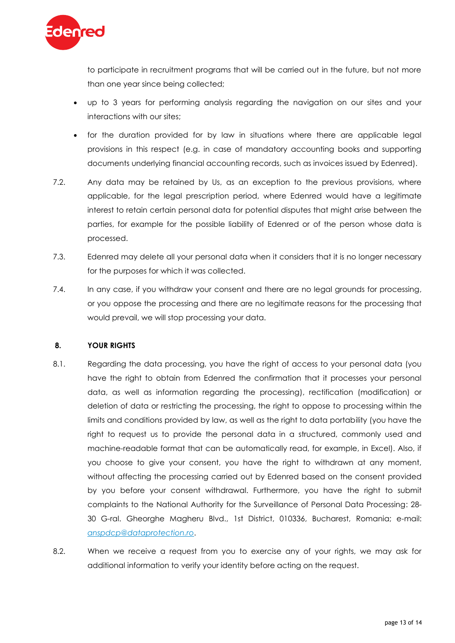

to participate in recruitment programs that will be carried out in the future, but not more than one year since being collected;

- up to 3 years for performing analysis regarding the navigation on our sites and your interactions with our sites;
- for the duration provided for by law in situations where there are applicable legal provisions in this respect (e.g. in case of mandatory accounting books and supporting documents underlying financial accounting records, such as invoices issued by Edenred).
- 7.2. Any data may be retained by Us, as an exception to the previous provisions, where applicable, for the legal prescription period, where Edenred would have a legitimate interest to retain certain personal data for potential disputes that might arise between the parties, for example for the possible liability of Edenred or of the person whose data is processed.
- 7.3. Edenred may delete all your personal data when it considers that it is no longer necessary for the purposes for which it was collected.
- 7.4. In any case, if you withdraw your consent and there are no legal grounds for processing, or you oppose the processing and there are no legitimate reasons for the processing that would prevail, we will stop processing your data.

# **8. YOUR RIGHTS**

- 8.1. Regarding the data processing, you have the right of access to your personal data (you have the right to obtain from Edenred the confirmation that it processes your personal data, as well as information regarding the processing), rectification (modification) or deletion of data or restricting the processing, the right to oppose to processing within the limits and conditions provided by law, as well as the right to data portability (you have the right to request us to provide the personal data in a structured, commonly used and machine-readable format that can be automatically read, for example, in Excel). Also, if you choose to give your consent, you have the right to withdrawn at any moment, without affecting the processing carried out by Edenred based on the consent provided by you before your consent withdrawal. Furthermore, you have the right to submit complaints to the National Authority for the Surveillance of Personal Data Processing: 28- 30 G-ral. Gheorghe Magheru Blvd., 1st District, 010336, Bucharest, Romania; e-mail: *[anspdcp@dataprotection.ro](mailto:anspdcp@dataprotection.ro)*.
- 8.2. When we receive a request from you to exercise any of your rights, we may ask for additional information to verify your identity before acting on the request.